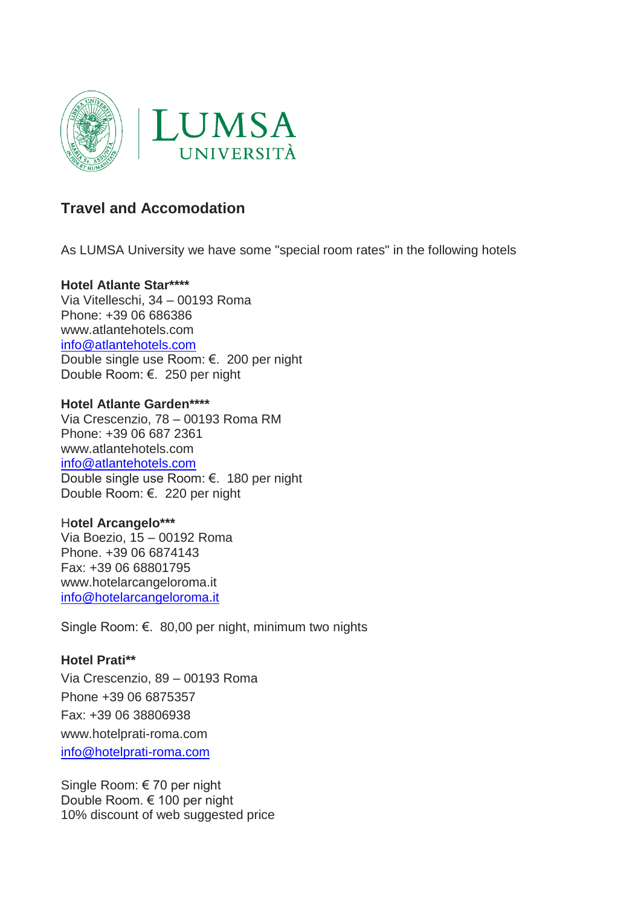

# **Travel and Accomodation**

As LUMSA University we have some "special room rates" in the following hotels

## **Hotel Atlante Star\*\*\*\***

Via Vitelleschi, 34 – 00193 Roma Phone: [+39 06 686386](tel:+39066875400) www.atlantehotels.com [info@atlantehotels.com](mailto:info@atlantehotels.com) Double single use Room: €. 200 per night Double Room: €. 250 per night

#### **Hotel Atlante Garden\*\*\*\***

Via Crescenzio, 78 – 00193 Roma RM Phone: [+39 06 687 2361](tel:+39%2006%20687%202361) www.atlantehotels.com [info@atlantehotels.com](mailto:info@atlantehotels.com) Double single use Room: €. 180 per night Double Room: €. 220 per night

#### H**otel Arcangelo\*\*\***

Via Boezio, 15 – 00192 Roma Phone. +39 06 6874143 Fax: +39 06 68801795 [www.hotelarcangeloroma.it](http://www.hotelarcangeloroma.it/) [info@hotelarcangeloroma.it](mailto:info@hotelarcangeloroma.it)

Single Room: €. 80,00 per night, minimum two nights

# **Hotel Prati\*\***

Via Crescenzio, 89 – 00193 Roma Phone [+39 06 6875357](tel:+3906875357) Fax: +39 06 38806938 [www.hotelprati-roma.com](http://www.hotelprati-roma.com/) [info@hotelprati-roma.com](mailto:info@hotelprati-roma.com)

Single Room: € 70 per night Double Room. € 100 per night 10% discount of web suggested price